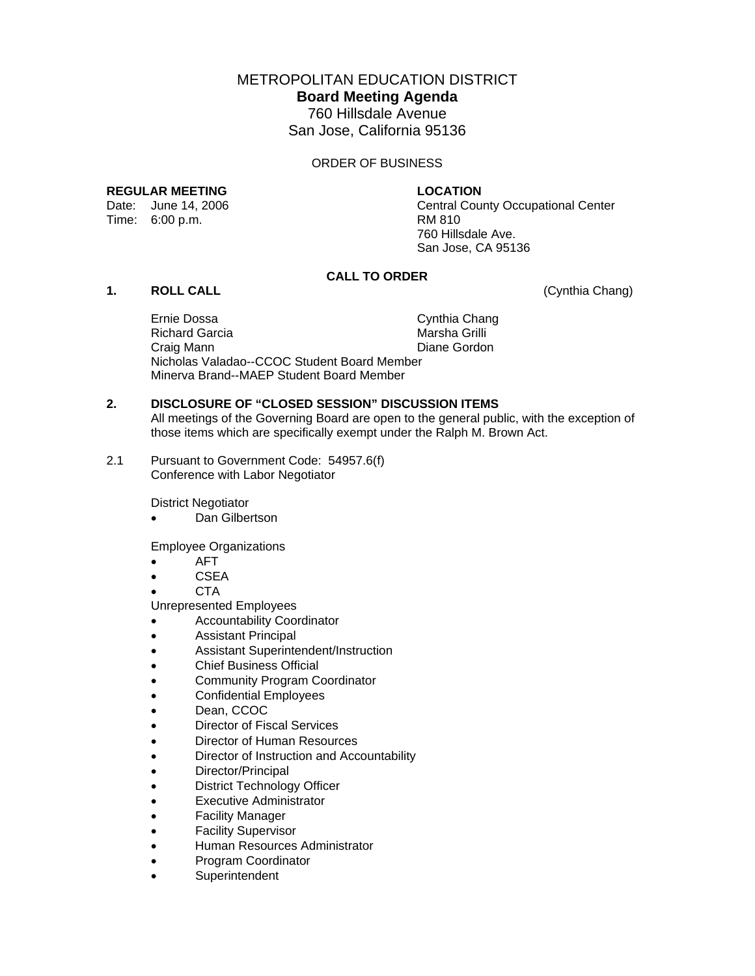METROPOLITAN EDUCATION DISTRICT

**Board Meeting Agenda** 

760 Hillsdale Avenue San Jose, California 95136

ORDER OF BUSINESS

#### **REGULAR MEETING LOCATION**

Time: 6:00 p.m. RM 810

Date: June 14, 2006 Central County Occupational Center 760 Hillsdale Ave. San Jose, CA 95136

# **CALL TO ORDER**

# **1. ROLL CALL** (Cynthia Chang)

 Ernie Dossa Cynthia Chang Richard Garcia Craig Mann **Diane Gordon**  Nicholas Valadao--CCOC Student Board Member Minerva Brand--MAEP Student Board Member

# **2. DISCLOSURE OF "CLOSED SESSION" DISCUSSION ITEMS**

All meetings of the Governing Board are open to the general public, with the exception of those items which are specifically exempt under the Ralph M. Brown Act.

2.1 Pursuant to Government Code: 54957.6(f) Conference with Labor Negotiator

District Negotiator

• Dan Gilbertson

Employee Organizations

- AFT
- CSEA
- CTA

Unrepresented Employees

- Accountability Coordinator
- Assistant Principal
- Assistant Superintendent/Instruction
- Chief Business Official
- Community Program Coordinator
- Confidential Employees
- Dean, CCOC
- Director of Fiscal Services
- Director of Human Resources
- Director of Instruction and Accountability
- Director/Principal
- District Technology Officer
- Executive Administrator
- Facility Manager
- Facility Supervisor
- Human Resources Administrator
- Program Coordinator
- **Superintendent**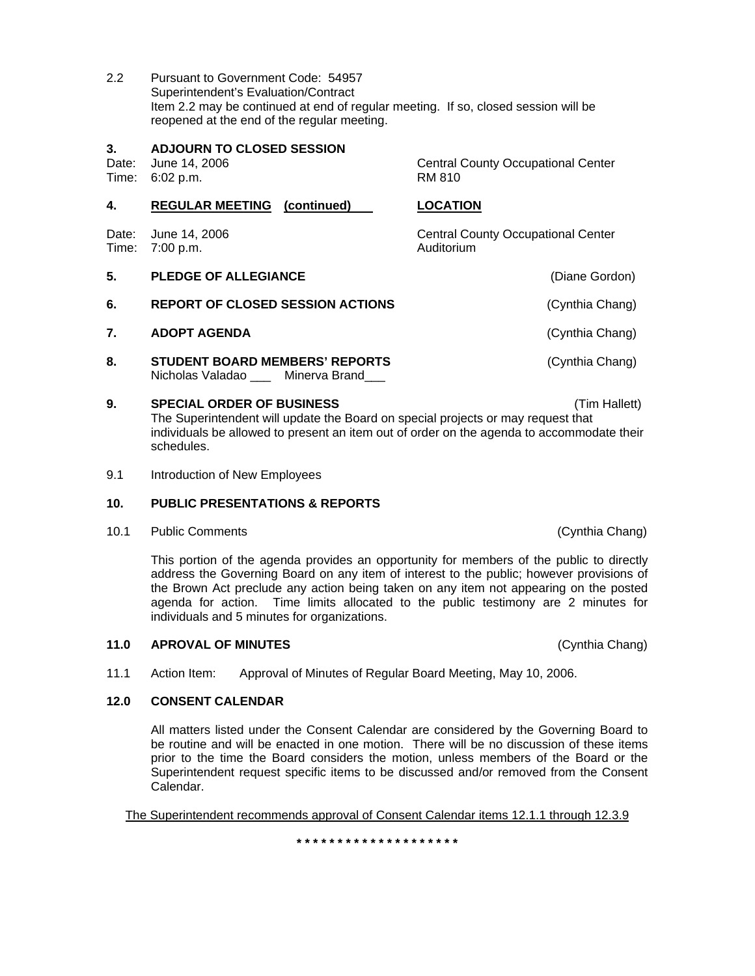2.2 Pursuant to Government Code: 54957 Superintendent's Evaluation/Contract Item 2.2 may be continued at end of regular meeting. If so, closed session will be reopened at the end of the regular meeting.

#### **3. ADJOURN TO CLOSED SESSION**

Time: 6:02 p.m. RM 810

Date: June 14, 2006 Central County Occupational Center

| 4.             | <b>REGULAR MEETING</b> (continued)                                         | <b>LOCATION</b>                                         |
|----------------|----------------------------------------------------------------------------|---------------------------------------------------------|
| Date:<br>Time: | June 14, 2006<br>7:00 p.m.                                                 | <b>Central County Occupational Center</b><br>Auditorium |
| 5.             | <b>PLEDGE OF ALLEGIANCE</b>                                                | (Diane Gordon)                                          |
| 6.             | <b>REPORT OF CLOSED SESSION ACTIONS</b>                                    | (Cynthia Chang)                                         |
| 7.             | <b>ADOPT AGENDA</b>                                                        | (Cynthia Chang)                                         |
| 8.             | <b>STUDENT BOARD MEMBERS' REPORTS</b><br>Nicholas Valadao<br>Minerva Brand | (Cynthia Chang)                                         |

- **9. SPECIAL ORDER OF BUSINESS** (Tim Hallett) The Superintendent will update the Board on special projects or may request that individuals be allowed to present an item out of order on the agenda to accommodate their schedules.
- 9.1 Introduction of New Employees

# **10. PUBLIC PRESENTATIONS & REPORTS**

10.1 Public Comments (Cynthia Chang)

This portion of the agenda provides an opportunity for members of the public to directly address the Governing Board on any item of interest to the public; however provisions of the Brown Act preclude any action being taken on any item not appearing on the posted agenda for action. Time limits allocated to the public testimony are 2 minutes for individuals and 5 minutes for organizations.

#### **11.0 APROVAL OF MINUTES** (Cynthia Chang)

11.1 Action Item: Approval of Minutes of Regular Board Meeting, May 10, 2006.

#### **12.0 CONSENT CALENDAR**

All matters listed under the Consent Calendar are considered by the Governing Board to be routine and will be enacted in one motion. There will be no discussion of these items prior to the time the Board considers the motion, unless members of the Board or the Superintendent request specific items to be discussed and/or removed from the Consent Calendar.

The Superintendent recommends approval of Consent Calendar items 12.1.1 through 12.3.9

**\* \* \* \* \* \* \* \* \* \* \* \* \* \* \* \* \* \* \* \***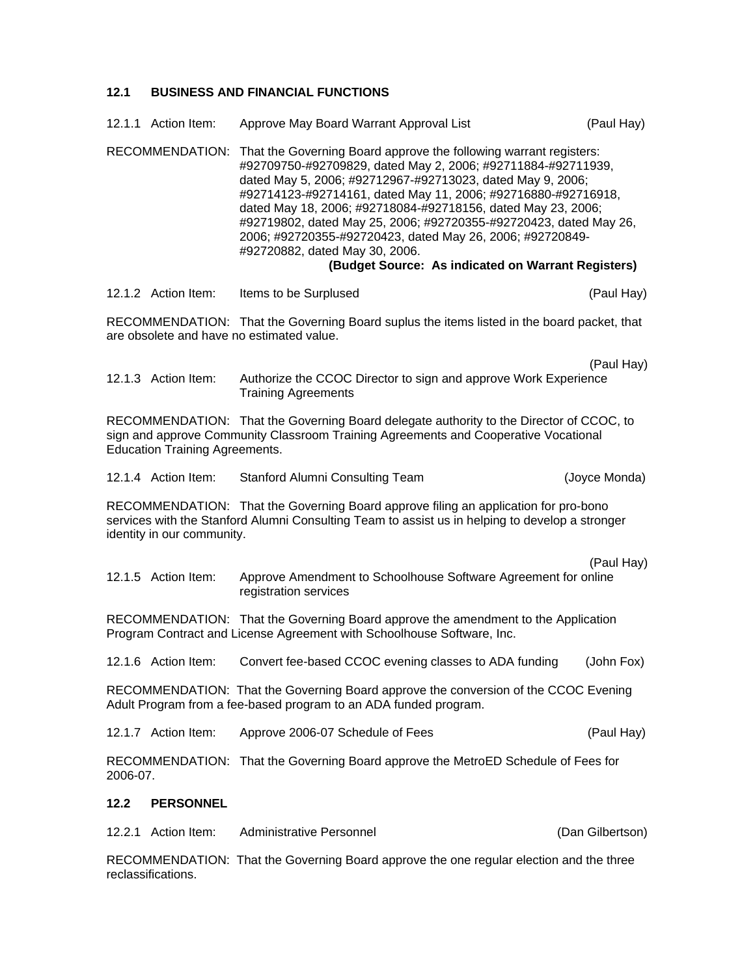# **12.1 BUSINESS AND FINANCIAL FUNCTIONS**

|                                                                                                                                                                                                                         | 12.1.1 Action Item: | Approve May Board Warrant Approval List                                                                                                                                                                                                                                                                                                                                                                                                                                                                                                                    | (Paul Hay)       |  |
|-------------------------------------------------------------------------------------------------------------------------------------------------------------------------------------------------------------------------|---------------------|------------------------------------------------------------------------------------------------------------------------------------------------------------------------------------------------------------------------------------------------------------------------------------------------------------------------------------------------------------------------------------------------------------------------------------------------------------------------------------------------------------------------------------------------------------|------------------|--|
|                                                                                                                                                                                                                         | RECOMMENDATION:     | That the Governing Board approve the following warrant registers:<br>#92709750-#92709829, dated May 2, 2006; #92711884-#92711939,<br>dated May 5, 2006; #92712967-#92713023, dated May 9, 2006;<br>#92714123-#92714161, dated May 11, 2006; #92716880-#92716918,<br>dated May 18, 2006; #92718084-#92718156, dated May 23, 2006;<br>#92719802, dated May 25, 2006; #92720355-#92720423, dated May 26,<br>2006; #92720355-#92720423, dated May 26, 2006; #92720849-<br>#92720882, dated May 30, 2006.<br>(Budget Source: As indicated on Warrant Registers) |                  |  |
|                                                                                                                                                                                                                         | 12.1.2 Action Item: | Items to be Surplused                                                                                                                                                                                                                                                                                                                                                                                                                                                                                                                                      | (Paul Hay)       |  |
| RECOMMENDATION: That the Governing Board suplus the items listed in the board packet, that<br>are obsolete and have no estimated value.                                                                                 |                     |                                                                                                                                                                                                                                                                                                                                                                                                                                                                                                                                                            |                  |  |
|                                                                                                                                                                                                                         | 12.1.3 Action Item: | Authorize the CCOC Director to sign and approve Work Experience<br><b>Training Agreements</b>                                                                                                                                                                                                                                                                                                                                                                                                                                                              | (Paul Hay)       |  |
| RECOMMENDATION: That the Governing Board delegate authority to the Director of CCOC, to<br>sign and approve Community Classroom Training Agreements and Cooperative Vocational<br><b>Education Training Agreements.</b> |                     |                                                                                                                                                                                                                                                                                                                                                                                                                                                                                                                                                            |                  |  |
|                                                                                                                                                                                                                         | 12.1.4 Action Item: | Stanford Alumni Consulting Team                                                                                                                                                                                                                                                                                                                                                                                                                                                                                                                            | (Joyce Monda)    |  |
| RECOMMENDATION: That the Governing Board approve filing an application for pro-bono<br>services with the Stanford Alumni Consulting Team to assist us in helping to develop a stronger<br>identity in our community.    |                     |                                                                                                                                                                                                                                                                                                                                                                                                                                                                                                                                                            |                  |  |
|                                                                                                                                                                                                                         |                     |                                                                                                                                                                                                                                                                                                                                                                                                                                                                                                                                                            | (Paul Hay)       |  |
|                                                                                                                                                                                                                         | 12.1.5 Action Item: | Approve Amendment to Schoolhouse Software Agreement for online<br>registration services                                                                                                                                                                                                                                                                                                                                                                                                                                                                    |                  |  |
| RECOMMENDATION: That the Governing Board approve the amendment to the Application<br>Program Contract and License Agreement with Schoolhouse Software, Inc.                                                             |                     |                                                                                                                                                                                                                                                                                                                                                                                                                                                                                                                                                            |                  |  |
|                                                                                                                                                                                                                         | 12.1.6 Action Item: | Convert fee-based CCOC evening classes to ADA funding                                                                                                                                                                                                                                                                                                                                                                                                                                                                                                      | (John Fox)       |  |
| RECOMMENDATION: That the Governing Board approve the conversion of the CCOC Evening<br>Adult Program from a fee-based program to an ADA funded program.                                                                 |                     |                                                                                                                                                                                                                                                                                                                                                                                                                                                                                                                                                            |                  |  |
|                                                                                                                                                                                                                         | 12.1.7 Action Item: | Approve 2006-07 Schedule of Fees                                                                                                                                                                                                                                                                                                                                                                                                                                                                                                                           | (Paul Hay)       |  |
| RECOMMENDATION: That the Governing Board approve the MetroED Schedule of Fees for<br>2006-07.                                                                                                                           |                     |                                                                                                                                                                                                                                                                                                                                                                                                                                                                                                                                                            |                  |  |
| 12.2                                                                                                                                                                                                                    | <b>PERSONNEL</b>    |                                                                                                                                                                                                                                                                                                                                                                                                                                                                                                                                                            |                  |  |
| 12.2.1                                                                                                                                                                                                                  | Action Item:        | <b>Administrative Personnel</b>                                                                                                                                                                                                                                                                                                                                                                                                                                                                                                                            | (Dan Gilbertson) |  |

RECOMMENDATION: That the Governing Board approve the one regular election and the three reclassifications.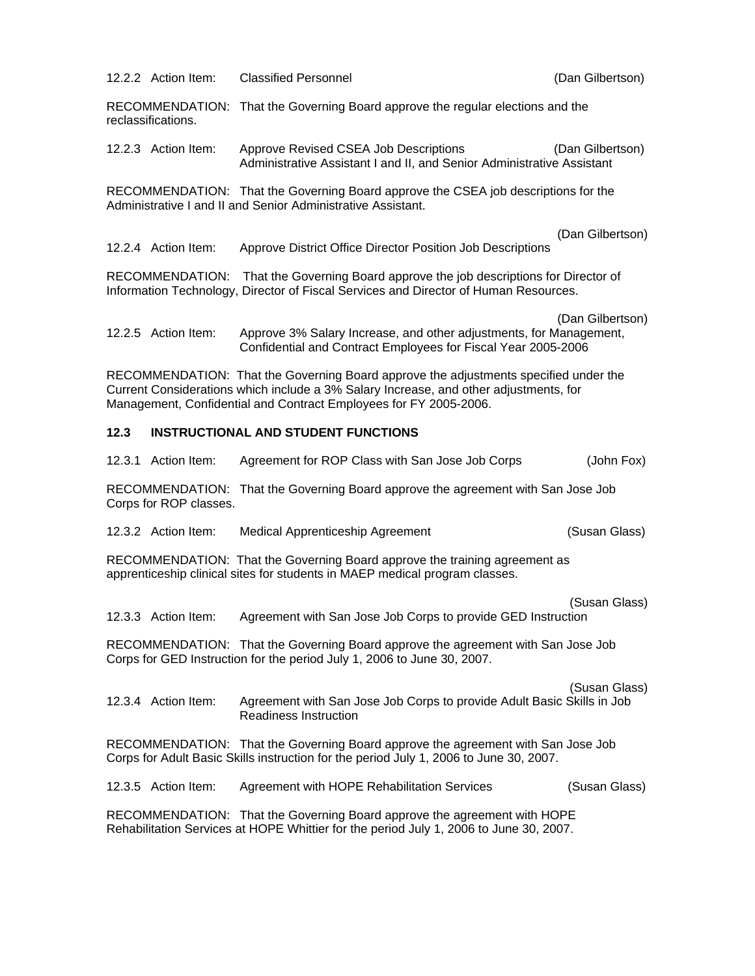12.2.2 Action Item: Classified Personnel (Dan Gilbertson)

RECOMMENDATION: That the Governing Board approve the regular elections and the reclassifications.

12.2.3 Action Item: Approve Revised CSEA Job Descriptions (Dan Gilbertson) Administrative Assistant I and II, and Senior Administrative Assistant

RECOMMENDATION: That the Governing Board approve the CSEA job descriptions for the Administrative I and II and Senior Administrative Assistant.

(Dan Gilbertson)

12.2.4 Action Item: Approve District Office Director Position Job Descriptions

RECOMMENDATION: That the Governing Board approve the job descriptions for Director of Information Technology, Director of Fiscal Services and Director of Human Resources.

(Dan Gilbertson)

12.2.5 Action Item: Approve 3% Salary Increase, and other adjustments, for Management, Confidential and Contract Employees for Fiscal Year 2005-2006

RECOMMENDATION: That the Governing Board approve the adjustments specified under the Current Considerations which include a 3% Salary Increase, and other adjustments, for Management, Confidential and Contract Employees for FY 2005-2006.

# **12.3 INSTRUCTIONAL AND STUDENT FUNCTIONS**

|                                                                                                                                                                            | 12.3.1 Action Item: | Agreement for ROP Class with San Jose Job Corps                                                 | (John Fox)    |
|----------------------------------------------------------------------------------------------------------------------------------------------------------------------------|---------------------|-------------------------------------------------------------------------------------------------|---------------|
| RECOMMENDATION: That the Governing Board approve the agreement with San Jose Job<br>Corps for ROP classes.                                                                 |                     |                                                                                                 |               |
|                                                                                                                                                                            | 12.3.2 Action Item: | Medical Apprenticeship Agreement                                                                | (Susan Glass) |
| RECOMMENDATION: That the Governing Board approve the training agreement as<br>apprenticeship clinical sites for students in MAEP medical program classes.                  |                     |                                                                                                 |               |
|                                                                                                                                                                            | 12.3.3 Action Item: | Agreement with San Jose Job Corps to provide GED Instruction                                    | (Susan Glass) |
| RECOMMENDATION: That the Governing Board approve the agreement with San Jose Job<br>Corps for GED Instruction for the period July 1, 2006 to June 30, 2007.                |                     |                                                                                                 |               |
|                                                                                                                                                                            | 12.3.4 Action Item: | Agreement with San Jose Job Corps to provide Adult Basic Skills in Job<br>Readiness Instruction | (Susan Glass) |
| RECOMMENDATION: That the Governing Board approve the agreement with San Jose Job<br>Corps for Adult Basic Skills instruction for the period July 1, 2006 to June 30, 2007. |                     |                                                                                                 |               |
|                                                                                                                                                                            | 12.3.5 Action Item: | Agreement with HOPE Rehabilitation Services                                                     | (Susan Glass) |
| RECOMMENDATION: That the Governing Board approve the agreement with HOPE<br>Rehabilitation Services at HOPE Whittier for the period July 1, 2006 to June 30, 2007.         |                     |                                                                                                 |               |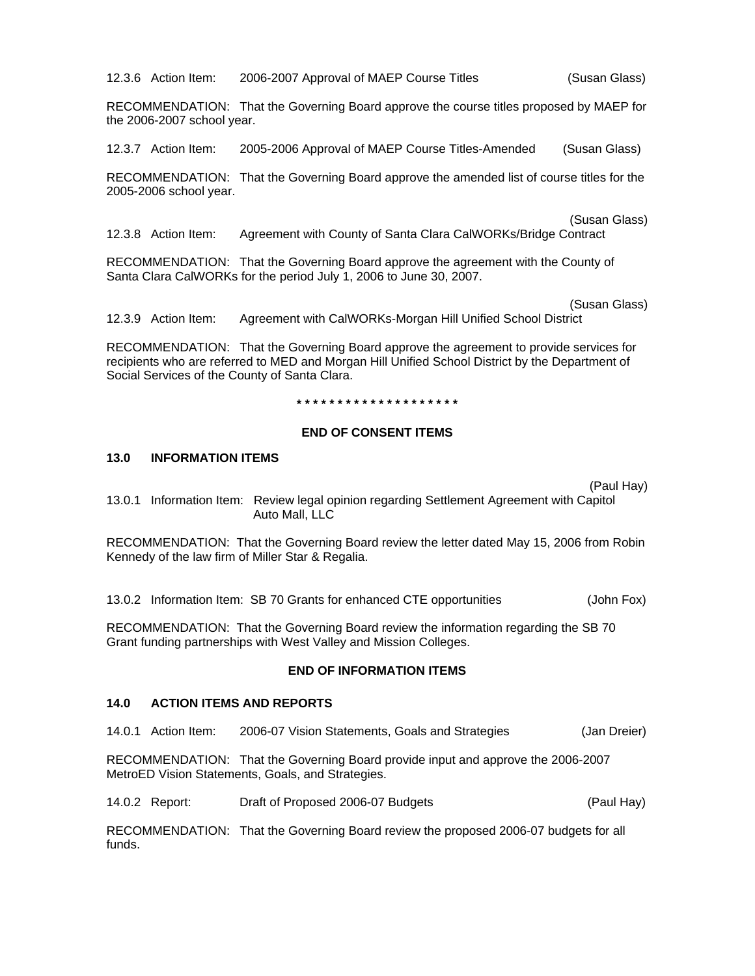12.3.6 Action Item: 2006-2007 Approval of MAEP Course Titles (Susan Glass)

RECOMMENDATION: That the Governing Board approve the course titles proposed by MAEP for the 2006-2007 school year.

12.3.7 Action Item: 2005-2006 Approval of MAEP Course Titles-Amended (Susan Glass)

RECOMMENDATION: That the Governing Board approve the amended list of course titles for the 2005-2006 school year.

(Susan Glass)

12.3.8 Action Item: Agreement with County of Santa Clara CalWORKs/Bridge Contract

RECOMMENDATION: That the Governing Board approve the agreement with the County of Santa Clara CalWORKs for the period July 1, 2006 to June 30, 2007.

(Susan Glass)

12.3.9 Action Item: Agreement with CalWORKs-Morgan Hill Unified School District

RECOMMENDATION: That the Governing Board approve the agreement to provide services for recipients who are referred to MED and Morgan Hill Unified School District by the Department of Social Services of the County of Santa Clara.

**\* \* \* \* \* \* \* \* \* \* \* \* \* \* \* \* \* \* \* \*** 

#### **END OF CONSENT ITEMS**

#### **13.0 INFORMATION ITEMS**

(Paul Hay)

13.0.1 Information Item: Review legal opinion regarding Settlement Agreement with Capitol Auto Mall, LLC

RECOMMENDATION: That the Governing Board review the letter dated May 15, 2006 from Robin Kennedy of the law firm of Miller Star & Regalia.

13.0.2 Information Item: SB 70 Grants for enhanced CTE opportunities (John Fox)

RECOMMENDATION: That the Governing Board review the information regarding the SB 70 Grant funding partnerships with West Valley and Mission Colleges.

#### **END OF INFORMATION ITEMS**

#### **14.0 ACTION ITEMS AND REPORTS**

14.0.1 Action Item: 2006-07 Vision Statements, Goals and Strategies (Jan Dreier)

RECOMMENDATION: That the Governing Board provide input and approve the 2006-2007 MetroED Vision Statements, Goals, and Strategies.

14.0.2 Report: Draft of Proposed 2006-07 Budgets (Paul Hay)

RECOMMENDATION: That the Governing Board review the proposed 2006-07 budgets for all funds.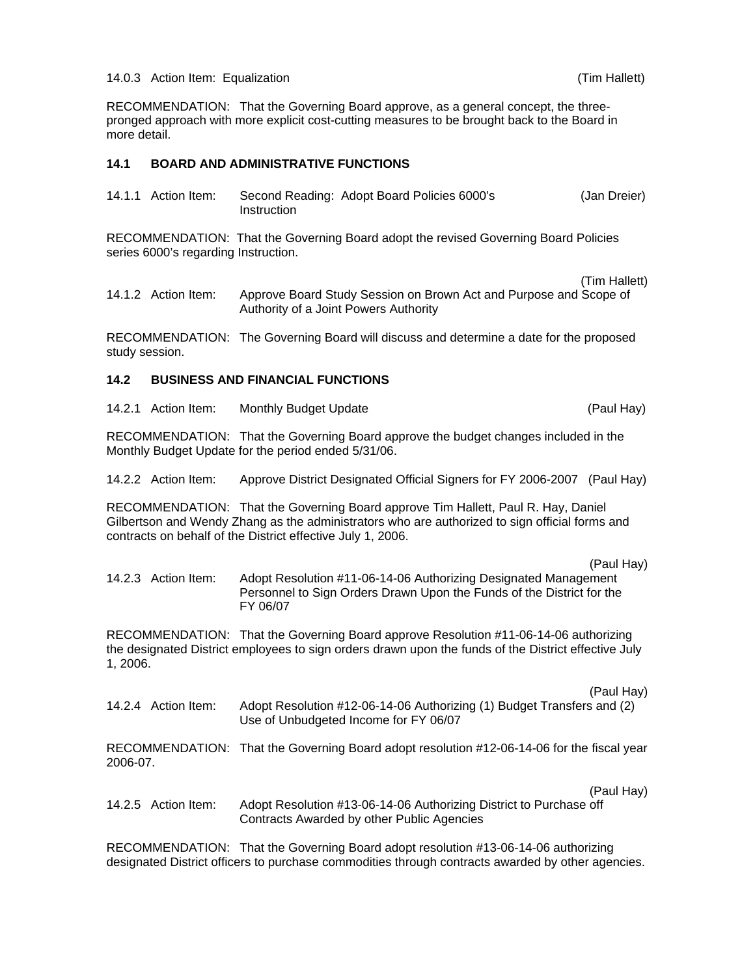#### 14.0.3 Action Item: Equalization (Tim Hallett)

RECOMMENDATION: That the Governing Board approve, as a general concept, the threepronged approach with more explicit cost-cutting measures to be brought back to the Board in more detail.

# **14.1 BOARD AND ADMINISTRATIVE FUNCTIONS**

| 14.1.1 Action Item: |             | Second Reading: Adopt Board Policies 6000's | (Jan Dreier) |
|---------------------|-------------|---------------------------------------------|--------------|
|                     | Instruction |                                             |              |

RECOMMENDATION: That the Governing Board adopt the revised Governing Board Policies series 6000's regarding Instruction.

(Tim Hallett)

14.1.2 Action Item: Approve Board Study Session on Brown Act and Purpose and Scope of Authority of a Joint Powers Authority

RECOMMENDATION: The Governing Board will discuss and determine a date for the proposed study session.

# **14.2 BUSINESS AND FINANCIAL FUNCTIONS**

14.2.1 Action Item: Monthly Budget Update (Paul Hay)

RECOMMENDATION: That the Governing Board approve the budget changes included in the Monthly Budget Update for the period ended 5/31/06.

14.2.2 Action Item: Approve District Designated Official Signers for FY 2006-2007 (Paul Hay)

RECOMMENDATION: That the Governing Board approve Tim Hallett, Paul R. Hay, Daniel Gilbertson and Wendy Zhang as the administrators who are authorized to sign official forms and contracts on behalf of the District effective July 1, 2006.

(Paul Hay) 14.2.3 Action Item: Adopt Resolution #11-06-14-06 Authorizing Designated Management Personnel to Sign Orders Drawn Upon the Funds of the District for the FY 06/07

RECOMMENDATION: That the Governing Board approve Resolution #11-06-14-06 authorizing the designated District employees to sign orders drawn upon the funds of the District effective July 1, 2006.

(Paul Hay) 14.2.4 Action Item: Adopt Resolution #12-06-14-06 Authorizing (1) Budget Transfers and (2) Use of Unbudgeted Income for FY 06/07

RECOMMENDATION: That the Governing Board adopt resolution #12-06-14-06 for the fiscal year 2006-07.

(Paul Hay)

14.2.5 Action Item: Adopt Resolution #13-06-14-06 Authorizing District to Purchase off Contracts Awarded by other Public Agencies

RECOMMENDATION: That the Governing Board adopt resolution #13-06-14-06 authorizing designated District officers to purchase commodities through contracts awarded by other agencies.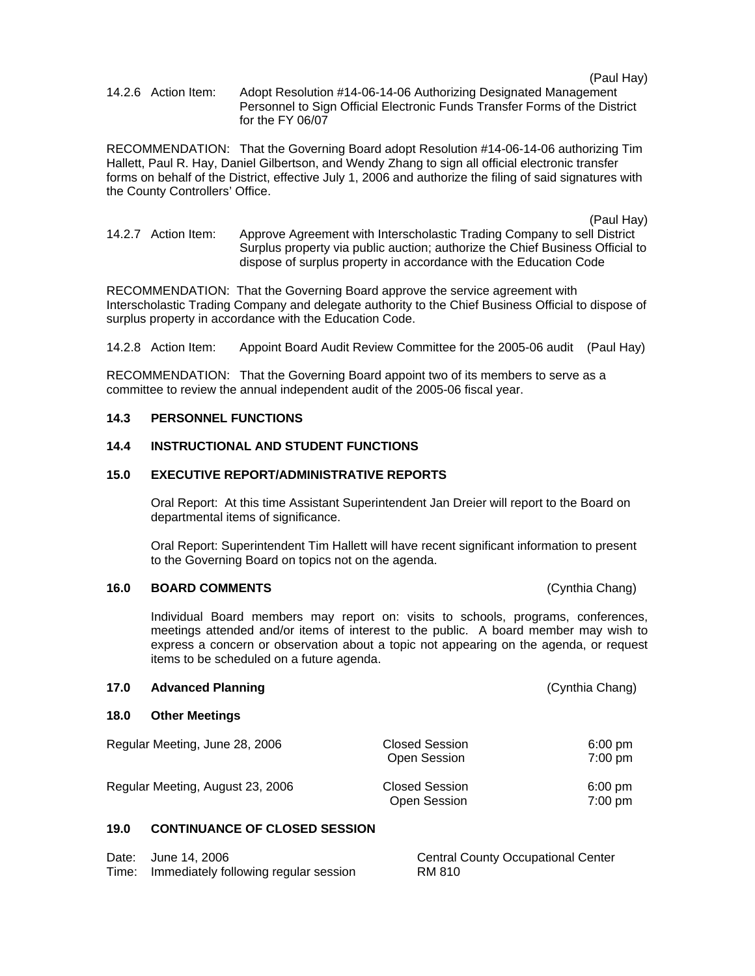(Paul Hay)

14.2.6 Action Item: Adopt Resolution #14-06-14-06 Authorizing Designated Management Personnel to Sign Official Electronic Funds Transfer Forms of the District for the FY 06/07

RECOMMENDATION: That the Governing Board adopt Resolution #14-06-14-06 authorizing Tim Hallett, Paul R. Hay, Daniel Gilbertson, and Wendy Zhang to sign all official electronic transfer forms on behalf of the District, effective July 1, 2006 and authorize the filing of said signatures with the County Controllers' Office.

(Paul Hay)

14.2.7 Action Item: Approve Agreement with Interscholastic Trading Company to sell District Surplus property via public auction; authorize the Chief Business Official to dispose of surplus property in accordance with the Education Code

RECOMMENDATION: That the Governing Board approve the service agreement with Interscholastic Trading Company and delegate authority to the Chief Business Official to dispose of surplus property in accordance with the Education Code.

14.2.8 Action Item: Appoint Board Audit Review Committee for the 2005-06 audit (Paul Hay)

RECOMMENDATION: That the Governing Board appoint two of its members to serve as a committee to review the annual independent audit of the 2005-06 fiscal year.

#### **14.3 PERSONNEL FUNCTIONS**

## **14.4 INSTRUCTIONAL AND STUDENT FUNCTIONS**

#### **15.0 EXECUTIVE REPORT/ADMINISTRATIVE REPORTS**

Oral Report: At this time Assistant Superintendent Jan Dreier will report to the Board on departmental items of significance.

Oral Report: Superintendent Tim Hallett will have recent significant information to present to the Governing Board on topics not on the agenda.

#### **16.0 BOARD COMMENTS** (Cynthia Chang)

Individual Board members may report on: visits to schools, programs, conferences, meetings attended and/or items of interest to the public. A board member may wish to express a concern or observation about a topic not appearing on the agenda, or request items to be scheduled on a future agenda.

| 17.0 | <b>Advanced Planning</b>         | (Cynthia Chang)                       |                                |
|------|----------------------------------|---------------------------------------|--------------------------------|
| 18.0 | <b>Other Meetings</b>            |                                       |                                |
|      | Regular Meeting, June 28, 2006   | <b>Closed Session</b><br>Open Session | $6:00 \text{ pm}$<br>$7:00$ pm |
|      | Regular Meeting, August 23, 2006 | <b>Closed Session</b><br>Open Session | $6:00$ pm<br>$7:00 \text{ pm}$ |
|      |                                  |                                       |                                |

#### **19.0 CONTINUANCE OF CLOSED SESSION**

| Date: June 14, 2006                         | <b>Central County Occupational Center</b> |
|---------------------------------------------|-------------------------------------------|
| Time: Immediately following regular session | RM 810                                    |